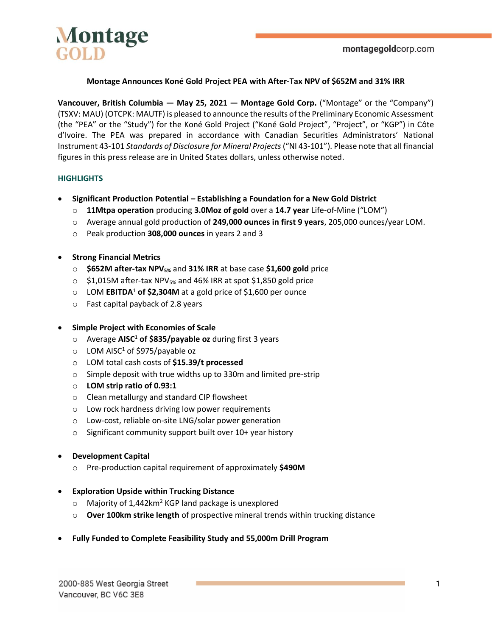

### **Montage Announces Koné Gold Project PEA with After-Tax NPV of \$652M and 31% IRR**

**Vancouver, British Columbia — May 25, 2021 — Montage Gold Corp.** ("Montage" or the "Company") (TSXV: MAU) (OTCPK: MAUTF) is pleased to announce the results of the Preliminary Economic Assessment (the "PEA" or the "Study") for the Koné Gold Project ("Koné Gold Project", "Project", or "KGP") in Côte d'Ivoire. The PEA was prepared in accordance with Canadian Securities Administrators' National Instrument 43-101 *Standards of Disclosure for Mineral Projects* ("NI 43-101"). Please note that all financial figures in this press release are in United States dollars, unless otherwise noted.

### **HIGHLIGHTS**

- **Significant Production Potential – Establishing a Foundation for a New Gold District**
	- o **11Mtpa operation** producing **3.0Moz of gold** over a **14.7 year** Life-of-Mine ("LOM")
	- o Average annual gold production of **249,000 ounces in first 9 years**, 205,000 ounces/year LOM.
	- o Peak production **308,000 ounces** in years 2 and 3
- **Strong Financial Metrics**
	- o **\$652M after-tax NPV5%** and **31% IRR** at base case **\$1,600 gold** price
	- $\circ$  \$1,015M after-tax NPV<sub>5%</sub> and 46% IRR at spot \$1,850 gold price
	- o LOM **EBITDA**<sup>1</sup> **of \$2,304M** at a gold price of \$1,600 per ounce
	- o Fast capital payback of 2.8 years

### • **Simple Project with Economies of Scale**

- o Average **AISC**<sup>1</sup> **of \$835/payable oz** during first 3 years
- $\circ$  LOM AISC<sup>1</sup> of \$975/payable oz
- o LOM total cash costs of **\$15.39/t processed**
- o Simple deposit with true widths up to 330m and limited pre-strip
- o **LOM strip ratio of 0.93:1**
- o Clean metallurgy and standard CIP flowsheet
- o Low rock hardness driving low power requirements
- o Low-cost, reliable on-site LNG/solar power generation
- o Significant community support built over 10+ year history
- **Development Capital**
	- o Pre-production capital requirement of approximately **\$490M**

### • **Exploration Upside within Trucking Distance**

- $\circ$  Majority of 1,442 km<sup>2</sup> KGP land package is unexplored
- o **Over 100km strike length** of prospective mineral trends within trucking distance
- **Fully Funded to Complete Feasibility Study and 55,000m Drill Program**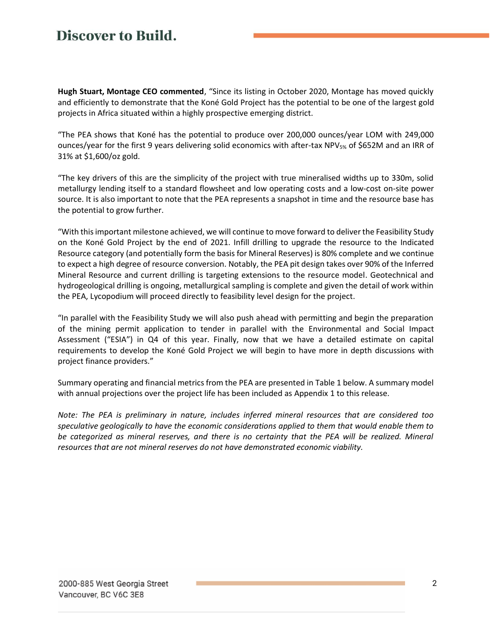**Hugh Stuart, Montage CEO commented**, "Since its listing in October 2020, Montage has moved quickly and efficiently to demonstrate that the Koné Gold Project has the potential to be one of the largest gold projects in Africa situated within a highly prospective emerging district.

"The PEA shows that Koné has the potential to produce over 200,000 ounces/year LOM with 249,000 ounces/year for the first 9 years delivering solid economics with after-tax NPV<sub>5%</sub> of \$652M and an IRR of 31% at \$1,600/oz gold.

"The key drivers of this are the simplicity of the project with true mineralised widths up to 330m, solid metallurgy lending itself to a standard flowsheet and low operating costs and a low-cost on-site power source. It is also important to note that the PEA represents a snapshot in time and the resource base has the potential to grow further.

"With this important milestone achieved, we will continue to move forward to deliver the Feasibility Study on the Koné Gold Project by the end of 2021. Infill drilling to upgrade the resource to the Indicated Resource category (and potentially form the basis for Mineral Reserves) is 80% complete and we continue to expect a high degree of resource conversion. Notably, the PEA pit design takes over 90% of the Inferred Mineral Resource and current drilling is targeting extensions to the resource model. Geotechnical and hydrogeological drilling is ongoing, metallurgical sampling is complete and given the detail of work within the PEA, Lycopodium will proceed directly to feasibility level design for the project.

"In parallel with the Feasibility Study we will also push ahead with permitting and begin the preparation of the mining permit application to tender in parallel with the Environmental and Social Impact Assessment ("ESIA") in Q4 of this year. Finally, now that we have a detailed estimate on capital requirements to develop the Koné Gold Project we will begin to have more in depth discussions with project finance providers."

Summary operating and financial metrics from the PEA are presented i[n Table 1](#page-2-0) below. A summary model with annual projections over the project life has been included as [Appendix 1](#page-18-0) to this release.

*Note: The PEA is preliminary in nature, includes inferred mineral resources that are considered too speculative geologically to have the economic considerations applied to them that would enable them to*  be categorized as mineral reserves, and there is no certainty that the PEA will be realized. Mineral *resources that are not mineral reserves do not have demonstrated economic viability.*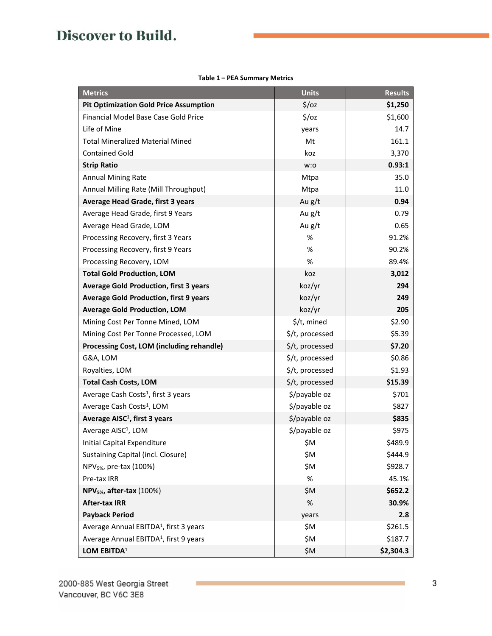| Table 1 – PEA Summary Metrics |  |  |
|-------------------------------|--|--|
|-------------------------------|--|--|

<span id="page-2-0"></span>

| <b>Metrics</b>                                     | <b>Units</b>      | <b>Results</b> |
|----------------------------------------------------|-------------------|----------------|
| <b>Pit Optimization Gold Price Assumption</b>      | $\frac{2}{3}$ /oz | \$1,250        |
| Financial Model Base Case Gold Price               | 5/oz              | \$1,600        |
| Life of Mine                                       | years             | 14.7           |
| <b>Total Mineralized Material Mined</b>            | Mt                | 161.1          |
| <b>Contained Gold</b>                              | koz               | 3,370          |
| <b>Strip Ratio</b>                                 | w:o               | 0.93:1         |
| <b>Annual Mining Rate</b>                          | Mtpa              | 35.0           |
| Annual Milling Rate (Mill Throughput)              | Mtpa              | 11.0           |
| Average Head Grade, first 3 years                  | Au g/t            | 0.94           |
| Average Head Grade, first 9 Years                  | Au g/t            | 0.79           |
| Average Head Grade, LOM                            | Au g/t            | 0.65           |
| Processing Recovery, first 3 Years                 | $\%$              | 91.2%          |
| Processing Recovery, first 9 Years                 | $\%$              | 90.2%          |
| Processing Recovery, LOM                           | $\%$              | 89.4%          |
| <b>Total Gold Production, LOM</b>                  | koz               | 3,012          |
| <b>Average Gold Production, first 3 years</b>      | koz/yr            | 294            |
| <b>Average Gold Production, first 9 years</b>      | koz/yr            | 249            |
| <b>Average Gold Production, LOM</b>                | koz/yr            | 205            |
| Mining Cost Per Tonne Mined, LOM                   | \$/t, mined       | \$2.90         |
| Mining Cost Per Tonne Processed, LOM               | \$/t, processed   | \$5.39         |
| Processing Cost, LOM (including rehandle)          | \$/t, processed   | \$7.20         |
| G&A, LOM                                           | \$/t, processed   | \$0.86         |
| Royalties, LOM                                     | \$/t, processed   | \$1.93         |
| <b>Total Cash Costs, LOM</b>                       | \$/t, processed   | \$15.39        |
| Average Cash Costs <sup>1</sup> , first 3 years    | \$/payable oz     | \$701          |
| Average Cash Costs <sup>1</sup> , LOM              | \$/payable oz     | \$827          |
| Average AISC <sup>1</sup> , first 3 years          | \$/payable oz     | \$835          |
| Average AISC <sup>1</sup> , LOM                    | \$/payable oz     | \$975          |
| Initial Capital Expenditure                        | \$M               | \$489.9        |
| Sustaining Capital (incl. Closure)                 | \$M               | \$444.9        |
| NPV <sub>5%</sub> , pre-tax (100%)                 | \$M               | \$928.7        |
| Pre-tax IRR                                        | %                 | 45.1%          |
| NPV <sub>5%</sub> , after-tax (100%)               | \$M               | \$652.2        |
| <b>After-tax IRR</b>                               | %                 | 30.9%          |
| <b>Payback Period</b>                              | years             | 2.8            |
| Average Annual EBITDA <sup>1</sup> , first 3 years | \$M               | \$261.5        |
| Average Annual EBITDA <sup>1</sup> , first 9 years | \$M               | \$187.7        |
| LOM EBITDA <sup>1</sup>                            | \$M               | \$2,304.3      |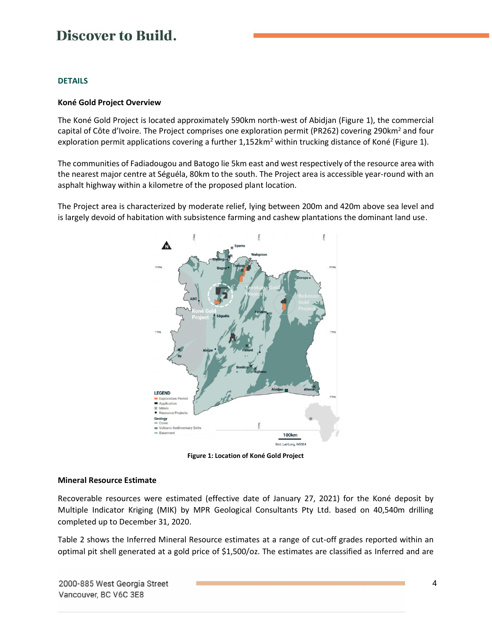### **DETAILS**

### **Koné Gold Project Overview**

The Koné Gold Project is located approximately 590km north-west of Abidjan [\(Figure 1\)](#page-3-0), the commercial capital of Côte d'Ivoire. The Project comprises one exploration permit (PR262) covering 290km<sup>2</sup> and four exploration permit applications covering a further  $1,152km^2$  within trucking distance of Koné [\(Figure 1\)](#page-3-0).

The communities of Fadiadougou and Batogo lie 5km east and west respectively of the resource area with the nearest major centre at Séguéla, 80km to the south. The Project area is accessible year-round with an asphalt highway within a kilometre of the proposed plant location.

The Project area is characterized by moderate relief, lying between 200m and 420m above sea level and is largely devoid of habitation with subsistence farming and cashew plantations the dominant land use.



**Figure 1: Location of Koné Gold Project**

#### <span id="page-3-0"></span>**Mineral Resource Estimate**

Recoverable resources were estimated (effective date of January 27, 2021) for the Koné deposit by Multiple Indicator Kriging (MIK) by MPR Geological Consultants Pty Ltd. based on 40,540m drilling completed up to December 31, 2020.

[Table 2](#page-4-0) shows the Inferred Mineral Resource estimates at a range of cut-off grades reported within an optimal pit shell generated at a gold price of \$1,500/oz. The estimates are classified as Inferred and are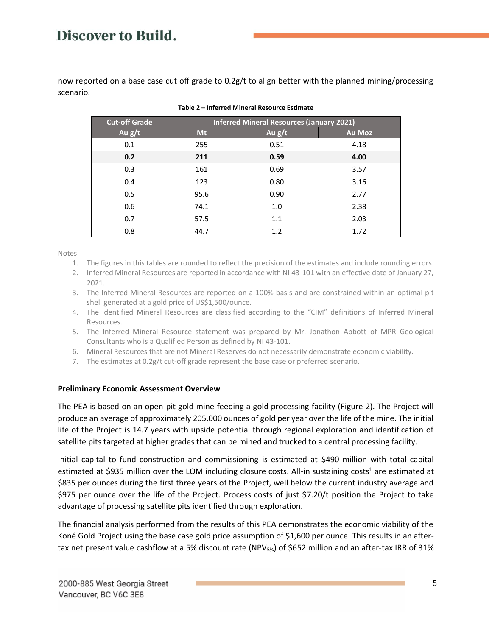<span id="page-4-0"></span>now reported on a base case cut off grade to 0.2g/t to align better with the planned mining/processing scenario.

| <b>Cut-off Grade</b> | <b>Inferred Mineral Resources (January 2021)</b> |          |               |  |
|----------------------|--------------------------------------------------|----------|---------------|--|
| Au $g/t$             | Mt                                               | Au $g/t$ | <b>Au Moz</b> |  |
| 0.1                  | 255                                              | 0.51     | 4.18          |  |
| 0.2                  | 211                                              | 0.59     | 4.00          |  |
| 0.3                  | 161                                              | 0.69     | 3.57          |  |
| 0.4                  | 123                                              | 0.80     | 3.16          |  |
| 0.5                  | 95.6                                             | 0.90     | 2.77          |  |
| 0.6                  | 74.1                                             | 1.0      | 2.38          |  |
| 0.7                  | 57.5                                             | 1.1      | 2.03          |  |
| 0.8                  | 44.7                                             | 1.2      | 1.72          |  |

#### **Table 2 – Inferred Mineral Resource Estimate**

Notes

- 1. The figures in this tables are rounded to reflect the precision of the estimates and include rounding errors.
- 2. Inferred Mineral Resources are reported in accordance with NI 43-101 with an effective date of January 27, 2021.
- 3. The Inferred Mineral Resources are reported on a 100% basis and are constrained within an optimal pit shell generated at a gold price of US\$1,500/ounce.
- 4. The identified Mineral Resources are classified according to the "CIM" definitions of Inferred Mineral Resources.
- 5. The Inferred Mineral Resource statement was prepared by Mr. Jonathon Abbott of MPR Geological Consultants who is a Qualified Person as defined by NI 43-101.
- 6. Mineral Resources that are not Mineral Reserves do not necessarily demonstrate economic viability.
- 7. The estimates at  $0.2g/t$  cut-off grade represent the base case or preferred scenario.

#### **Preliminary Economic Assessment Overview**

The PEA is based on an open-pit gold mine feeding a gold processing facility [\(Figure 2\)](#page-5-0). The Project will produce an average of approximately 205,000 ounces of gold per year over the life of the mine. The initial life of the Project is 14.7 years with upside potential through regional exploration and identification of satellite pits targeted at higher grades that can be mined and trucked to a central processing facility.

Initial capital to fund construction and commissioning is estimated at \$490 million with total capital estimated at \$935 million over the LOM including closure costs. All-in sustaining costs<sup>1</sup> are estimated at \$835 per ounces during the first three years of the Project, well below the current industry average and \$975 per ounce over the life of the Project. Process costs of just \$7.20/t position the Project to take advantage of processing satellite pits identified through exploration.

The financial analysis performed from the results of this PEA demonstrates the economic viability of the Koné Gold Project using the base case gold price assumption of \$1,600 per ounce. This results in an aftertax net present value cashflow at a 5% discount rate (NPV<sub>5%</sub>) of \$652 million and an after-tax IRR of 31%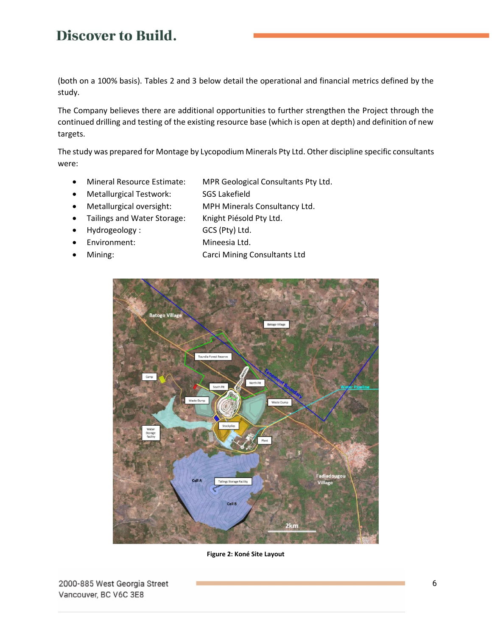(both on a 100% basis). Tables 2 and 3 below detail the operational and financial metrics defined by the study.

The Company believes there are additional opportunities to further strengthen the Project through the continued drilling and testing of the existing resource base (which is open at depth) and definition of new targets.

The study was prepared for Montage by Lycopodium Minerals Pty Ltd. Other discipline specific consultants were:

- Mineral Resource Estimate: MPR Geological Consultants Pty Ltd.
- Metallurgical Testwork: SGS Lakefield
- Metallurgical oversight: MPH Minerals Consultancy Ltd.
- Tailings and Water Storage: Knight Piésold Pty Ltd.
- Hydrogeology : GCS (Pty) Ltd.
- 
- 
- Environment: Mineesia Ltd.
	- Mining: Carci Mining Consultants Ltd



<span id="page-5-0"></span>**Figure 2: Koné Site Layout**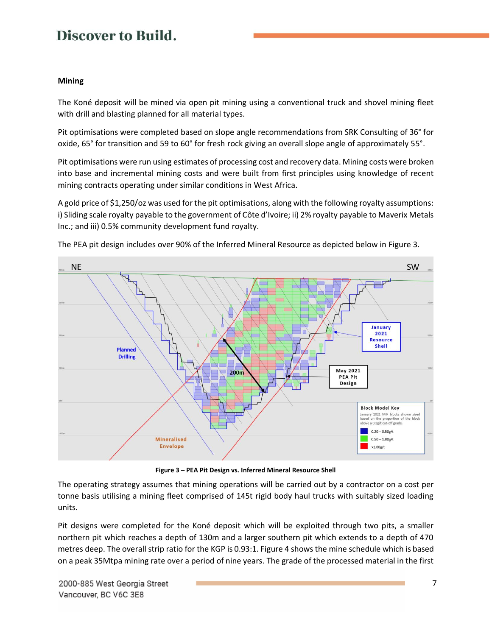## **Mining**

The Koné deposit will be mined via open pit mining using a conventional truck and shovel mining fleet with drill and blasting planned for all material types.

Pit optimisations were completed based on slope angle recommendations from SRK Consulting of 36° for oxide, 65° for transition and 59 to 60° for fresh rock giving an overall slope angle of approximately 55°.

Pit optimisations were run using estimates of processing cost and recovery data. Mining costs were broken into base and incremental mining costs and were built from first principles using knowledge of recent mining contracts operating under similar conditions in West Africa.

A gold price of \$1,250/oz was used for the pit optimisations, along with the following royalty assumptions: i) Sliding scale royalty payable to the government of Côte d'Ivoire; ii) 2% royalty payable to Maverix Metals Inc.; and iii) 0.5% community development fund royalty.



The PEA pit design includes over 90% of the Inferred Mineral Resource as depicted below i[n Figure 3.](#page-6-0)

**Figure 3 – PEA Pit Design vs. Inferred Mineral Resource Shell**

<span id="page-6-0"></span>The operating strategy assumes that mining operations will be carried out by a contractor on a cost per tonne basis utilising a mining fleet comprised of 145t rigid body haul trucks with suitably sized loading units.

Pit designs were completed for the Koné deposit which will be exploited through two pits, a smaller northern pit which reaches a depth of 130m and a larger southern pit which extends to a depth of 470 metres deep. The overall strip ratio for the KGP is 0.93:1[. Figure 4](#page-7-0) shows the mine schedule which is based on a peak 35Mtpa mining rate over a period of nine years. The grade of the processed material in the first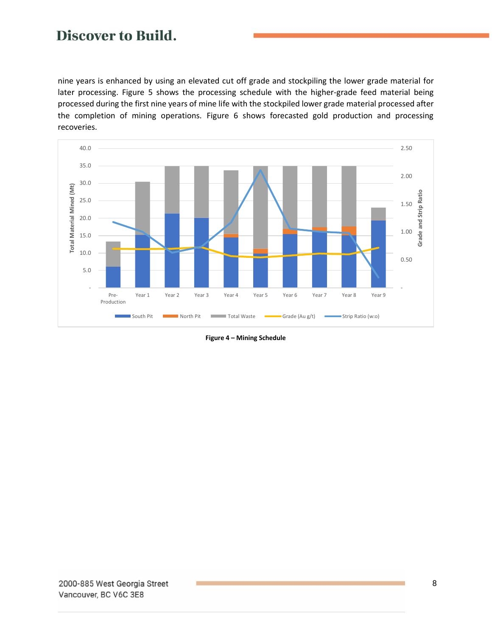nine years is enhanced by using an elevated cut off grade and stockpiling the lower grade material for later processing. [Figure 5](#page-8-0) shows the processing schedule with the higher-grade feed material being processed during the first nine years of mine life with the stockpiled lower grade material processed after the completion of mining operations. [Figure 6](#page-8-1) shows forecasted gold production and processing recoveries.



<span id="page-7-0"></span>**Figure 4 – Mining Schedule**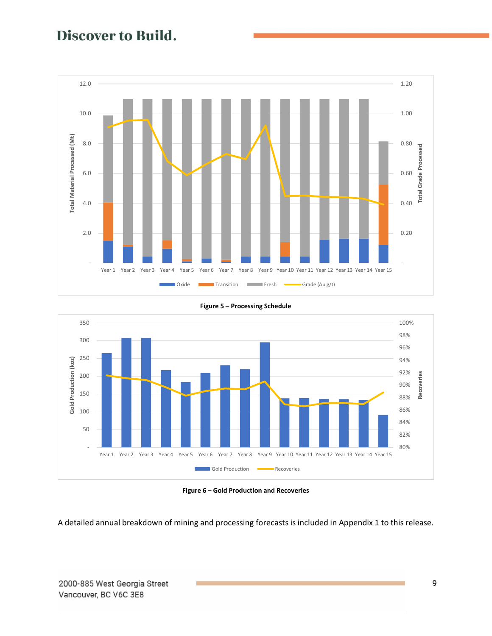

<span id="page-8-0"></span>



<span id="page-8-1"></span>A detailed annual breakdown of mining and processing forecasts is included in [Appendix 1](#page-18-0) to this release.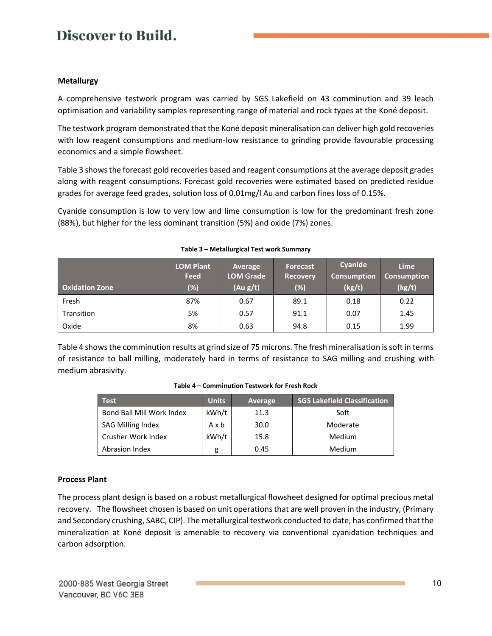### **Metallurgy**

A comprehensive testwork program was carried by SGS Lakefield on 43 comminution and 39 leach optimisation and variability samples representing range of material and rock types at the Koné deposit.

The testwork program demonstrated that the Koné deposit mineralisation can deliver high gold recoveries with low reagent consumptions and medium-low resistance to grinding provide favourable processing economics and a simple flowsheet.

[Table 3](#page-9-0) shows the forecast gold recoveries based and reagent consumptions at the average deposit grades along with reagent consumptions. Forecast gold recoveries were estimated based on predicted residue grades for average feed grades, solution loss of 0.01mg/l Au and carbon fines loss of 0.15%.

Cyanide consumption is low to very low and lime consumption is low for the predominant fresh zone (88%), but higher for the less dominant transition (5%) and oxide (7%) zones.

<span id="page-9-0"></span>

| <b>Oxidation Zone</b> | <b>LOM Plant</b><br><b>Feed</b><br>$(\%)$ | Average<br><b>LOM Grade</b><br>(Au g/t) | <b>Forecast</b><br><b>Recovery</b><br>$(\%)$ | Cyanide<br><b>Consumption</b><br>(kg/t) | <b>Lime</b><br><b>Consumption</b><br>(kg/t) |
|-----------------------|-------------------------------------------|-----------------------------------------|----------------------------------------------|-----------------------------------------|---------------------------------------------|
| Fresh                 | 87%                                       | 0.67                                    | 89.1                                         | 0.18                                    | 0.22                                        |
| Transition            | 5%                                        | 0.57                                    | 91.1                                         | 0.07                                    | 1.45                                        |
| Oxide                 | 8%                                        | 0.63                                    | 94.8                                         | 0.15                                    | 1.99                                        |

#### **Table 3 – Metallurgical Test work Summary**

<span id="page-9-1"></span>[Table 4](#page-9-1) shows the comminution results at grind size of 75 microns. The fresh mineralisation is soft in terms of resistance to ball milling, moderately hard in terms of resistance to SAG milling and crushing with medium abrasivity.

| <b>Test</b>               | <b>Units</b> | Average | <b>SGS Lakefield Classification</b> |
|---------------------------|--------------|---------|-------------------------------------|
| Bond Ball Mill Work Index | kWh/t        | 11.3    | Soft                                |
| <b>SAG Milling Index</b>  | Axb          | 30.0    | Moderate                            |
| Crusher Work Index        | kWh/t        | 15.8    | <b>Medium</b>                       |
| Abrasion Index            | g            | 0.45    | <b>Medium</b>                       |

### **Process Plant**

The process plant design is based on a robust metallurgical flowsheet designed for optimal precious metal recovery. The flowsheet chosen is based on unit operations that are well proven in the industry, (Primary and Secondary crushing, SABC, CIP). The metallurgical testwork conducted to date, has confirmed that the mineralization at Koné deposit is amenable to recovery via conventional cyanidation techniques and carbon adsorption.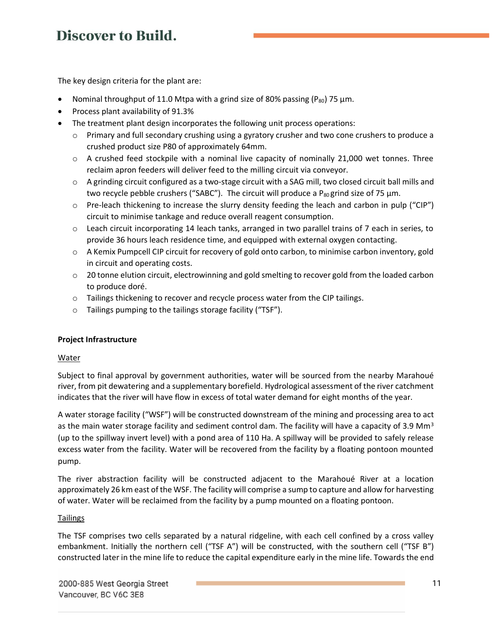The key design criteria for the plant are:

- Nominal throughput of 11.0 Mtpa with a grind size of 80% passing (P<sub>80</sub>) 75  $\mu$ m.
- Process plant availability of 91.3%
- The treatment plant design incorporates the following unit process operations:
	- o Primary and full secondary crushing using a gyratory crusher and two cone crushers to produce a crushed product size P80 of approximately 64mm.
	- $\circ$  A crushed feed stockpile with a nominal live capacity of nominally 21,000 wet tonnes. Three reclaim apron feeders will deliver feed to the milling circuit via conveyor.
	- o A grinding circuit configured as a two-stage circuit with a SAG mill, two closed circuit ball mills and two recycle pebble crushers ("SABC"). The circuit will produce a P<sub>80</sub> grind size of 75  $\mu$ m.
	- $\circ$  Pre-leach thickening to increase the slurry density feeding the leach and carbon in pulp ("CIP") circuit to minimise tankage and reduce overall reagent consumption.
	- o Leach circuit incorporating 14 leach tanks, arranged in two parallel trains of 7 each in series, to provide 36 hours leach residence time, and equipped with external oxygen contacting.
	- o A Kemix Pumpcell CIP circuit for recovery of gold onto carbon, to minimise carbon inventory, gold in circuit and operating costs.
	- $\circ$  20 tonne elution circuit, electrowinning and gold smelting to recover gold from the loaded carbon to produce doré.
	- $\circ$  Tailings thickening to recover and recycle process water from the CIP tailings.
	- o Tailings pumping to the tailings storage facility ("TSF").

### **Project Infrastructure**

### **Water**

Subject to final approval by government authorities, water will be sourced from the nearby Marahoué river, from pit dewatering and a supplementary borefield. Hydrological assessment of the river catchment indicates that the river will have flow in excess of total water demand for eight months of the year.

A water storage facility ("WSF") will be constructed downstream of the mining and processing area to act as the main water storage facility and sediment control dam. The facility will have a capacity of 3.9 Mm<sup>3</sup> (up to the spillway invert level) with a pond area of 110 Ha. A spillway will be provided to safely release excess water from the facility. Water will be recovered from the facility by a floating pontoon mounted pump.

The river abstraction facility will be constructed adjacent to the Marahoué River at a location approximately 26 km east of the WSF. The facility will comprise a sump to capture and allow for harvesting of water. Water will be reclaimed from the facility by a pump mounted on a floating pontoon.

### **Tailings**

The TSF comprises two cells separated by a natural ridgeline, with each cell confined by a cross valley embankment. Initially the northern cell ("TSF A") will be constructed, with the southern cell ("TSF B") constructed later in the mine life to reduce the capital expenditure early in the mine life. Towards the end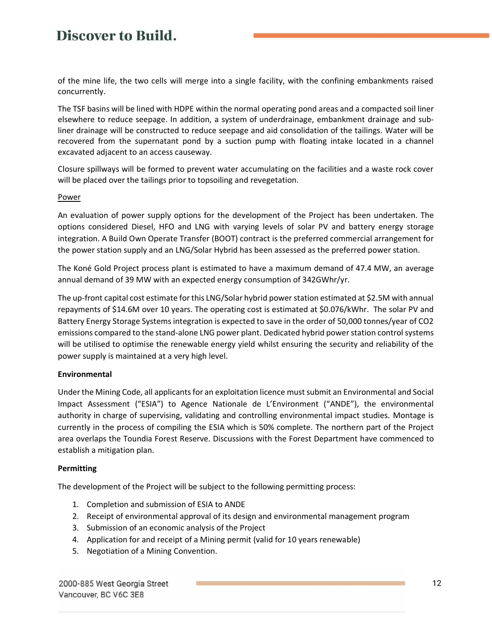of the mine life, the two cells will merge into a single facility, with the confining embankments raised concurrently.

The TSF basins will be lined with HDPE within the normal operating pond areas and a compacted soil liner elsewhere to reduce seepage. In addition, a system of underdrainage, embankment drainage and subliner drainage will be constructed to reduce seepage and aid consolidation of the tailings. Water will be recovered from the supernatant pond by a suction pump with floating intake located in a channel excavated adjacent to an access causeway.

Closure spillways will be formed to prevent water accumulating on the facilities and a waste rock cover will be placed over the tailings prior to topsoiling and revegetation.

### **Power**

An evaluation of power supply options for the development of the Project has been undertaken. The options considered Diesel, HFO and LNG with varying levels of solar PV and battery energy storage integration. A Build Own Operate Transfer (BOOT) contract is the preferred commercial arrangement for the power station supply and an LNG/Solar Hybrid has been assessed as the preferred power station.

The Koné Gold Project process plant is estimated to have a maximum demand of 47.4 MW, an average annual demand of 39 MW with an expected energy consumption of 342GWhr/yr.

The up-front capital cost estimate for this LNG/Solar hybrid power station estimated at \$2.5M with annual repayments of \$14.6M over 10 years. The operating cost is estimated at \$0.076/kWhr. The solar PV and Battery Energy Storage Systems integration is expected to save in the order of 50,000 tonnes/year of CO2 emissions compared to the stand-alone LNG power plant. Dedicated hybrid power station control systems will be utilised to optimise the renewable energy yield whilst ensuring the security and reliability of the power supply is maintained at a very high level.

#### **Environmental**

Under the Mining Code, all applicants for an exploitation licence must submit an Environmental and Social Impact Assessment ("ESIA") to Agence Nationale de L'Environment ("ANDE"), the environmental authority in charge of supervising, validating and controlling environmental impact studies. Montage is currently in the process of compiling the ESIA which is 50% complete. The northern part of the Project area overlaps the Toundia Forest Reserve. Discussions with the Forest Department have commenced to establish a mitigation plan.

### **Permitting**

The development of the Project will be subject to the following permitting process:

- 1. Completion and submission of ESIA to ANDE
- 2. Receipt of environmental approval of its design and environmental management program
- 3. Submission of an economic analysis of the Project
- 4. Application for and receipt of a Mining permit (valid for 10 years renewable)
- 5. Negotiation of a Mining Convention.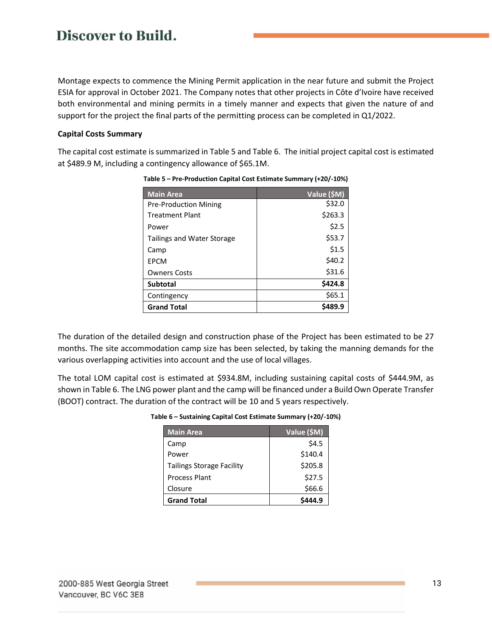Montage expects to commence the Mining Permit application in the near future and submit the Project ESIA for approval in October 2021. The Company notes that other projects in Côte d'Ivoire have received both environmental and mining permits in a timely manner and expects that given the nature of and support for the project the final parts of the permitting process can be completed in Q1/2022.

### **Capital Costs Summary**

<span id="page-12-0"></span>The capital cost estimate is summarized i[n Table 5](#page-12-0) an[d Table 6.](#page-12-1) The initial project capital cost is estimated at \$489.9 M, including a contingency allowance of \$65.1M.

| <b>Main Area</b>                  | Value (\$M) |
|-----------------------------------|-------------|
| <b>Pre-Production Mining</b>      | \$32.0      |
| <b>Treatment Plant</b>            | \$263.3     |
| Power                             | \$2.5       |
| <b>Tailings and Water Storage</b> | \$53.7      |
| Camp                              | \$1.5       |
| EPCM                              | \$40.2      |
| <b>Owners Costs</b>               | \$31.6      |
| <b>Subtotal</b>                   | \$424.8     |
| Contingency                       | \$65.1      |
| <b>Grand Total</b>                | \$489.9     |

**Table 5 – Pre-Production Capital Cost Estimate Summary (+20/-10%)**

The duration of the detailed design and construction phase of the Project has been estimated to be 27 months. The site accommodation camp size has been selected, by taking the manning demands for the various overlapping activities into account and the use of local villages.

<span id="page-12-1"></span>The total LOM capital cost is estimated at \$934.8M, including sustaining capital costs of \$444.9M, as shown in [Table 6.](#page-12-1) The LNG power plant and the camp will be financed under a Build Own Operate Transfer (BOOT) contract. The duration of the contract will be 10 and 5 years respectively.

| Table 6 – Sustaining Capital Cost Estimate Summary (+20/-10%) |  |  |  |
|---------------------------------------------------------------|--|--|--|
|---------------------------------------------------------------|--|--|--|

| <b>Main Area</b>                 | Value (\$M) |
|----------------------------------|-------------|
| Camp                             | \$4.5       |
| Power                            | \$140.4     |
| <b>Tailings Storage Facility</b> | \$205.8     |
| <b>Process Plant</b>             | \$27.5      |
| Closure                          | \$66.6      |
| <b>Grand Total</b>               |             |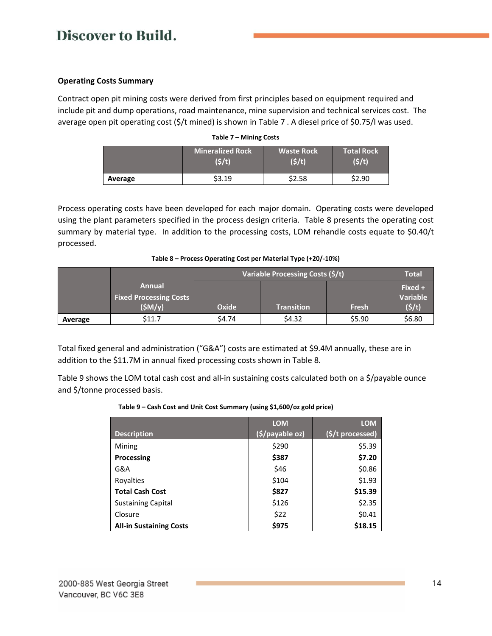### **Operating Costs Summary**

<span id="page-13-0"></span>Contract open pit mining costs were derived from first principles based on equipment required and include pit and dump operations, road maintenance, mine supervision and technical services cost. The average open pit operating cost (\$/t mined) is shown in [Table 7](#page-13-0) . A diesel price of \$0.75/l was used.

|         | Mineralized Rock ' | <b>Waste Rock</b> | <b>Total Rock</b> |
|---------|--------------------|-------------------|-------------------|
|         | (\$/t)             | (5/t)             | (5/t)             |
| Average | \$3.19             | \$2.58            | \$2.90            |

### **Table 7 – Mining Costs**

Process operating costs have been developed for each major domain. Operating costs were developed using the plant parameters specified in the process design criteria. [Table 8](#page-13-1) presents the operating cost summary by material type. In addition to the processing costs, LOM rehandle costs equate to \$0.40/t processed.

| Table 8 – Process Operating Cost per Material Type (+20/-10%) |  |                                  |  |  |
|---------------------------------------------------------------|--|----------------------------------|--|--|
|                                                               |  | Variable Processing Costs (\$/t) |  |  |
|                                                               |  |                                  |  |  |

<span id="page-13-1"></span>

|         |                                                   | Variable Processing Costs (\$/t) |                            |        | Total  |  |
|---------|---------------------------------------------------|----------------------------------|----------------------------|--------|--------|--|
|         | Annual<br><b>Fixed Processing Costs</b><br>(SM/y) | Oxide                            | Fresh<br><b>Transition</b> |        |        |  |
| Average | \$11.7                                            | \$4.74                           | \$4.32                     | \$5.90 | \$6.80 |  |

Total fixed general and administration ("G&A") costs are estimated at \$9.4M annually, these are in addition to the \$11.7M in annual fixed processing costs shown in [Table 8.](#page-13-1)

<span id="page-13-2"></span>[Table 9](#page-13-2) shows the LOM total cash cost and all-in sustaining costs calculated both on a \$/payable ounce and \$/tonne processed basis.

### **Table 9 – Cash Cost and Unit Cost Summary (using \$1,600/oz gold price)**

|                                | <b>LOM</b>      | <b>LOM</b>       |
|--------------------------------|-----------------|------------------|
| <b>Description</b>             | (\$/payable oz) | (\$/t processed) |
| Mining                         | \$290           | \$5.39           |
| Processing                     | \$387           | \$7.20           |
| G&A                            | \$46            | \$0.86           |
| Royalties                      | \$104           | \$1.93           |
| <b>Total Cash Cost</b>         | \$827           | \$15.39          |
| <b>Sustaining Capital</b>      | \$126           | \$2.35           |
| Closure                        | \$22            | \$0.41           |
| <b>All-in Sustaining Costs</b> | \$975           | \$18.15          |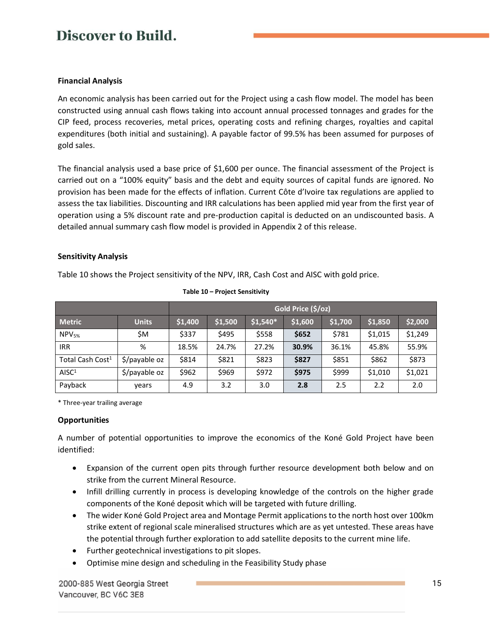### **Financial Analysis**

An economic analysis has been carried out for the Project using a cash flow model. The model has been constructed using annual cash flows taking into account annual processed tonnages and grades for the CIP feed, process recoveries, metal prices, operating costs and refining charges, royalties and capital expenditures (both initial and sustaining). A payable factor of 99.5% has been assumed for purposes of gold sales.

The financial analysis used a base price of \$1,600 per ounce. The financial assessment of the Project is carried out on a "100% equity" basis and the debt and equity sources of capital funds are ignored. No provision has been made for the effects of inflation. Current Côte d'Ivoire tax regulations are applied to assess the tax liabilities. Discounting and IRR calculations has been applied mid year from the first year of operation using a 5% discount rate and pre-production capital is deducted on an undiscounted basis. A detailed annual summary cash flow model is provided in [Appendix 2](#page-19-0) of this release.

## **Sensitivity Analysis**

[Table 10](#page-14-0) shows the Project sensitivity of the NPV, IRR, Cash Cost and AISC with gold price.

<span id="page-14-0"></span>

|                              |               | Gold Price (\$/oz) |         |           |         |         |         |         |  |  |  |  |  |  |
|------------------------------|---------------|--------------------|---------|-----------|---------|---------|---------|---------|--|--|--|--|--|--|
| <b>Metric</b>                | <b>Units</b>  | \$1,400            | \$1,500 | $$1,540*$ | \$1,600 | \$1,700 | \$1,850 | \$2,000 |  |  |  |  |  |  |
| NPV <sub>5%</sub>            | \$M           | \$337              | \$495   | \$558     | \$652   | \$781   | \$1,015 | \$1,249 |  |  |  |  |  |  |
| <b>IRR</b>                   | %             | 18.5%              | 24.7%   | 27.2%     | 30.9%   | 36.1%   | 45.8%   | 55.9%   |  |  |  |  |  |  |
| Total Cash Cost <sup>1</sup> | \$/payable oz | \$814              | \$821   | \$823     | \$827   | \$851   | \$862   | \$873   |  |  |  |  |  |  |
| AISC <sup>1</sup>            | \$/payable oz | \$962              | \$969   | \$972     | \$975   | \$999   | \$1,010 | \$1,021 |  |  |  |  |  |  |
| Payback                      | vears         | 4.9                | 3.2     | 3.0       | 2.8     | 2.5     | 2.2     | 2.0     |  |  |  |  |  |  |

### **Table 10 – Project Sensitivity**

\* Three-year trailing average

### **Opportunities**

A number of potential opportunities to improve the economics of the Koné Gold Project have been identified:

- Expansion of the current open pits through further resource development both below and on strike from the current Mineral Resource.
- Infill drilling currently in process is developing knowledge of the controls on the higher grade components of the Koné deposit which will be targeted with future drilling.
- The wider Koné Gold Project area and Montage Permit applications to the north host over 100km strike extent of regional scale mineralised structures which are as yet untested. These areas have the potential through further exploration to add satellite deposits to the current mine life.
- Further geotechnical investigations to pit slopes.
- Optimise mine design and scheduling in the Feasibility Study phase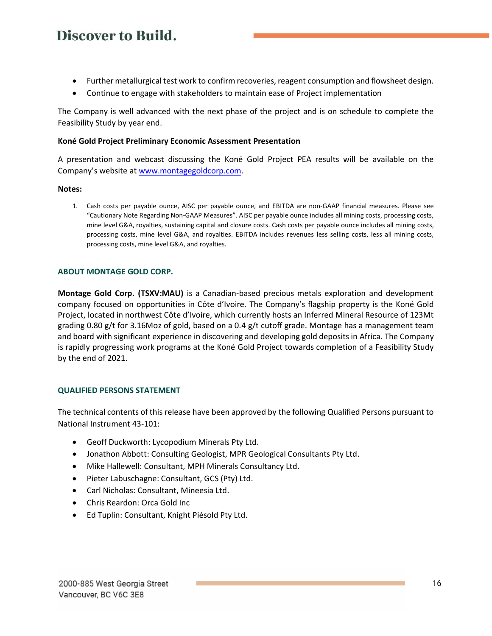- Further metallurgical test work to confirm recoveries, reagent consumption and flowsheet design.
- Continue to engage with stakeholders to maintain ease of Project implementation

The Company is well advanced with the next phase of the project and is on schedule to complete the Feasibility Study by year end.

### **Koné Gold Project Preliminary Economic Assessment Presentation**

A presentation and webcast discussing the Koné Gold Project PEA results will be available on the Company's website at [www.montagegoldcorp.com.](http://www.montagegoldcorp.com/)

#### **Notes:**

1. Cash costs per payable ounce, AISC per payable ounce, and EBITDA are non-GAAP financial measures. Please see "Cautionary Note Regarding Non-GAAP Measures". AISC per payable ounce includes all mining costs, processing costs, mine level G&A, royalties, sustaining capital and closure costs. Cash costs per payable ounce includes all mining costs, processing costs, mine level G&A, and royalties. EBITDA includes revenues less selling costs, less all mining costs, processing costs, mine level G&A, and royalties.

### **ABOUT MONTAGE GOLD CORP.**

**Montage Gold Corp. (TSXV:MAU)** is a Canadian-based precious metals exploration and development company focused on opportunities in Côte d'Ivoire. The Company's flagship property is the Koné Gold Project, located in northwest Côte d'Ivoire, which currently hosts an Inferred Mineral Resource of 123Mt grading 0.80 g/t for 3.16Moz of gold, based on a 0.4 g/t cutoff grade. Montage has a management team and board with significant experience in discovering and developing gold deposits in Africa. The Company is rapidly progressing work programs at the Koné Gold Project towards completion of a Feasibility Study by the end of 2021.

### **QUALIFIED PERSONS STATEMENT**

The technical contents of this release have been approved by the following Qualified Persons pursuant to National Instrument 43-101:

- Geoff Duckworth: Lycopodium Minerals Pty Ltd.
- Jonathon Abbott: Consulting Geologist, MPR Geological Consultants Pty Ltd.
- Mike Hallewell: Consultant, MPH Minerals Consultancy Ltd.
- Pieter Labuschagne: Consultant, GCS (Pty) Ltd.
- Carl Nicholas: Consultant, Mineesia Ltd.
- Chris Reardon: Orca Gold Inc
- Ed Tuplin: Consultant, Knight Piésold Pty Ltd.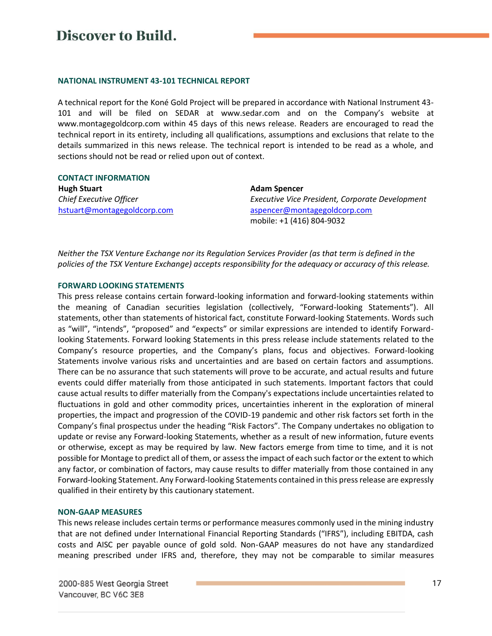#### **NATIONAL INSTRUMENT 43-101 TECHNICAL REPORT**

A technical report for the Koné Gold Project will be prepared in accordance with National Instrument 43- 101 and will be filed on SEDAR at www.sedar.com and on the Company's website at www.montagegoldcorp.com within 45 days of this news release. Readers are encouraged to read the technical report in its entirety, including all qualifications, assumptions and exclusions that relate to the details summarized in this news release. The technical report is intended to be read as a whole, and sections should not be read or relied upon out of context.

**CONTACT INFORMATION Hugh Stuart** *Chief Executive Officer* [hstuart@montagegoldcorp.com](mailto:hstuart@montagegoldcorp.com)

**Adam Spencer** *Executive Vice President, Corporate Development* [aspencer@montagegoldcorp.com](mailto:aspencer@montagegoldcorp.com) mobile: +1 (416) 804-9032

*Neither the TSX Venture Exchange nor its Regulation Services Provider (as that term is defined in the policies of the TSX Venture Exchange) accepts responsibility for the adequacy or accuracy of this release.*

#### **FORWARD LOOKING STATEMENTS**

This press release contains certain forward-looking information and forward-looking statements within the meaning of Canadian securities legislation (collectively, "Forward-looking Statements"). All statements, other than statements of historical fact, constitute Forward-looking Statements. Words such as "will", "intends", "proposed" and "expects" or similar expressions are intended to identify Forwardlooking Statements. Forward looking Statements in this press release include statements related to the Company's resource properties, and the Company's plans, focus and objectives. Forward-looking Statements involve various risks and uncertainties and are based on certain factors and assumptions. There can be no assurance that such statements will prove to be accurate, and actual results and future events could differ materially from those anticipated in such statements. Important factors that could cause actual results to differ materially from the Company's expectations include uncertainties related to fluctuations in gold and other commodity prices, uncertainties inherent in the exploration of mineral properties, the impact and progression of the COVID-19 pandemic and other risk factors set forth in the Company's final prospectus under the heading "Risk Factors". The Company undertakes no obligation to update or revise any Forward-looking Statements, whether as a result of new information, future events or otherwise, except as may be required by law. New factors emerge from time to time, and it is not possible for Montage to predict all of them, or assess the impact of each such factor or the extent to which any factor, or combination of factors, may cause results to differ materially from those contained in any Forward-looking Statement. Any Forward-looking Statements contained in this press release are expressly qualified in their entirety by this cautionary statement.

#### **NON-GAAP MEASURES**

This news release includes certain terms or performance measures commonly used in the mining industry that are not defined under International Financial Reporting Standards ("IFRS"), including EBITDA, cash costs and AISC per payable ounce of gold sold. Non-GAAP measures do not have any standardized meaning prescribed under IFRS and, therefore, they may not be comparable to similar measures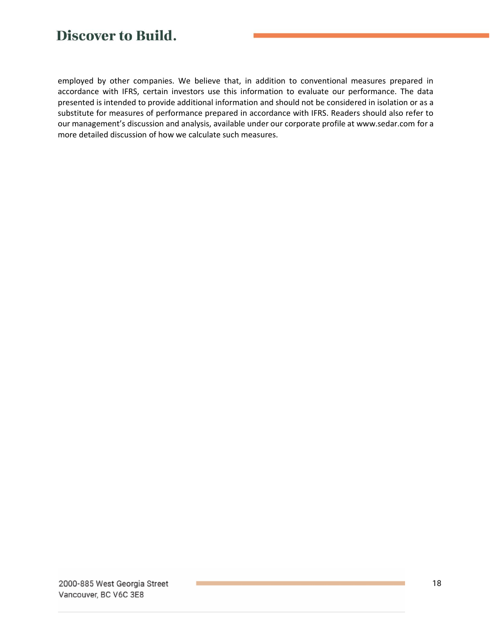employed by other companies. We believe that, in addition to conventional measures prepared in accordance with IFRS, certain investors use this information to evaluate our performance. The data presented is intended to provide additional information and should not be considered in isolation or as a substitute for measures of performance prepared in accordance with IFRS. Readers should also refer to our management's discussion and analysis, available under our corporate profile at www.sedar.com for a more detailed discussion of how we calculate such measures.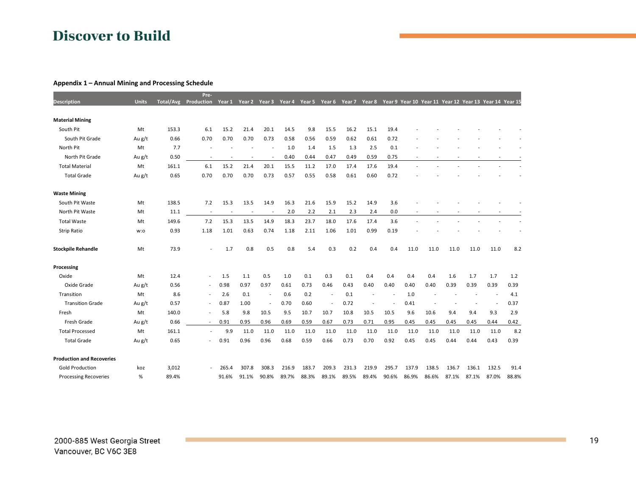#### **Appendix 1 – Annual Mining and Processing Schedule**

<span id="page-18-0"></span>

|                                  |              |                  | Pre-                     |                          |        |                          |        |        |                          |        |                          |       |       |                |                                                        |       |       |       |
|----------------------------------|--------------|------------------|--------------------------|--------------------------|--------|--------------------------|--------|--------|--------------------------|--------|--------------------------|-------|-------|----------------|--------------------------------------------------------|-------|-------|-------|
| <b>Description</b>               | <b>Units</b> | <b>Total/Avg</b> | Production               | Year 1                   | Year 2 | Year <sub>3</sub>        | Year 4 | Year 5 | Year 6                   | Year 7 | Year 8                   |       |       |                | Year 9 Year 10 Year 11 Year 12 Year 13 Year 14 Year 15 |       |       |       |
| <b>Material Mining</b>           |              |                  |                          |                          |        |                          |        |        |                          |        |                          |       |       |                |                                                        |       |       |       |
| South Pit                        | Mt           | 153.3            | 6.1                      | 15.2                     | 21.4   | 20.1                     | 14.5   | 9.8    | 15.5                     | 16.2   | 15.1                     | 19.4  |       |                |                                                        |       |       |       |
| South Pit Grade                  | Au g/t       | 0.66             | 0.70                     | 0.70                     | 0.70   | 0.73                     | 0.58   | 0.56   | 0.59                     | 0.62   | 0.61                     | 0.72  |       |                |                                                        |       |       |       |
| North Pit                        | Mt           | 7.7              |                          |                          |        |                          | 1.0    | 1.4    | 1.5                      | 1.3    | 2.5                      | 0.1   |       |                |                                                        |       |       |       |
| North Pit Grade                  | Au g/t       | 0.50             |                          |                          |        |                          | 0.40   | 0.44   | 0.47                     | 0.49   | 0.59                     | 0.75  |       |                |                                                        |       |       |       |
| <b>Total Material</b>            | Mt           | 161.1            | 6.1                      | 15.2                     | 21.4   | 20.1                     | 15.5   | 11.2   | 17.0                     | 17.4   | 17.6                     | 19.4  |       |                |                                                        |       |       |       |
| <b>Total Grade</b>               | Au g/t       | 0.65             | 0.70                     | 0.70                     | 0.70   | 0.73                     | 0.57   | 0.55   | 0.58                     | 0.61   | 0.60                     | 0.72  |       |                |                                                        |       |       |       |
| <b>Waste Mining</b>              |              |                  |                          |                          |        |                          |        |        |                          |        |                          |       |       |                |                                                        |       |       |       |
| South Pit Waste                  | Mt           | 138.5            | 7.2                      | 15.3                     | 13.5   | 14.9                     | 16.3   | 21.6   | 15.9                     | 15.2   | 14.9                     | 3.6   |       |                |                                                        |       |       |       |
| North Pit Waste                  | Mt           | 11.1             | $\overline{\phantom{a}}$ | $\overline{\phantom{a}}$ |        | $\overline{a}$           | 2.0    | 2.2    | 2.1                      | 2.3    | 2.4                      | 0.0   |       |                |                                                        |       |       |       |
| <b>Total Waste</b>               | Mt           | 149.6            | 7.2                      | 15.3                     | 13.5   | 14.9                     | 18.3   | 23.7   | 18.0                     | 17.6   | 17.4                     | 3.6   |       |                |                                                        |       |       |       |
| <b>Strip Ratio</b>               | w:o          | 0.93             | 1.18                     | 1.01                     | 0.63   | 0.74                     | 1.18   | 2.11   | 1.06                     | 1.01   | 0.99                     | 0.19  |       |                |                                                        |       |       |       |
| <b>Stockpile Rehandle</b>        | Mt           | 73.9             |                          | 1.7                      | 0.8    | 0.5                      | 0.8    | 5.4    | 0.3                      | 0.2    | 0.4                      | 0.4   | 11.0  | 11.0           | 11.0                                                   | 11.0  | 11.0  | 8.2   |
| Processing                       |              |                  |                          |                          |        |                          |        |        |                          |        |                          |       |       |                |                                                        |       |       |       |
| Oxide                            | Mt           | 12.4             | $\overline{\phantom{a}}$ | 1.5                      | 1.1    | 0.5                      | 1.0    | 0.1    | 0.3                      | 0.1    | 0.4                      | 0.4   | 0.4   | 0.4            | 1.6                                                    | 1.7   | 1.7   | 1.2   |
| Oxide Grade                      | Au g/t       | 0.56             | $\sim$                   | 0.98                     | 0.97   | 0.97                     | 0.61   | 0.73   | 0.46                     | 0.43   | 0.40                     | 0.40  | 0.40  | 0.40           | 0.39                                                   | 0.39  | 0.39  | 0.39  |
| Transition                       | Mt           | 8.6              | $\overline{\phantom{a}}$ | 2.6                      | 0.1    | $\overline{\phantom{a}}$ | 0.6    | 0.2    | $\overline{\phantom{a}}$ | 0.1    | $\overline{\phantom{0}}$ |       | 1.0   | $\overline{a}$ |                                                        |       |       | 4.1   |
| <b>Transition Grade</b>          | Au g/t       | 0.57             |                          | 0.87                     | 1.00   | $\overline{\phantom{a}}$ | 0.70   | 0.60   | $\overline{a}$           | 0.72   | $\overline{\phantom{a}}$ |       | 0.41  |                |                                                        |       |       | 0.37  |
| Fresh                            | Mt           | 140.0            |                          | 5.8                      | 9.8    | 10.5                     | 9.5    | 10.7   | 10.7                     | 10.8   | 10.5                     | 10.5  | 9.6   | 10.6           | 9.4                                                    | 9.4   | 9.3   | 2.9   |
| Fresh Grade                      | Au g/t       | 0.66             |                          | 0.91                     | 0.95   | 0.96                     | 0.69   | 0.59   | 0.67                     | 0.73   | 0.71                     | 0.95  | 0.45  | 0.45           | 0.45                                                   | 0.45  | 0.44  | 0.42  |
| <b>Total Processed</b>           | Mt           | 161.1            |                          | 9.9                      | 11.0   | 11.0                     | 11.0   | 11.0   | 11.0                     | 11.0   | 11.0                     | 11.0  | 11.0  | 11.0           | 11.0                                                   | 11.0  | 11.0  | 8.2   |
| <b>Total Grade</b>               | Au g/t       | 0.65             |                          | 0.91                     | 0.96   | 0.96                     | 0.68   | 0.59   | 0.66                     | 0.73   | 0.70                     | 0.92  | 0.45  | 0.45           | 0.44                                                   | 0.44  | 0.43  | 0.39  |
| <b>Production and Recoveries</b> |              |                  |                          |                          |        |                          |        |        |                          |        |                          |       |       |                |                                                        |       |       |       |
| <b>Gold Production</b>           | koz          | 3,012            |                          | 265.4                    | 307.8  | 308.3                    | 216.9  | 183.7  | 209.3                    | 231.3  | 219.9                    | 295.7 | 137.9 | 138.5          | 136.7                                                  | 136.1 | 132.5 | 91.4  |
| <b>Processing Recoveries</b>     | %            | 89.4%            |                          | 91.6%                    | 91.1%  | 90.8%                    | 89.7%  | 88.3%  | 89.1%                    | 89.5%  | 89.4%                    | 90.6% | 86.9% | 86.6%          | 87.1%                                                  | 87.1% | 87.0% | 88.8% |